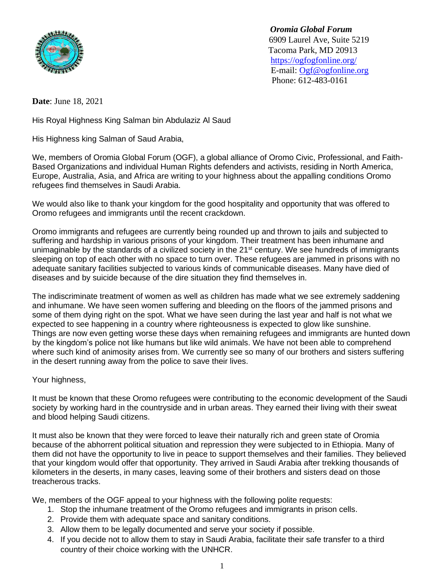

 *Oromia Global Forum* 6909 Laurel Ave, Suite 5219 Tacoma Park, MD 20913 <https://ogfogfonline.org/> E-mail: [Ogf@ogfonline.org](mailto:Ogf@ogfonline.org) Phone: 612-483-0161

**Date**: June 18, 2021

His Royal Highness King Salman bin Abdulaziz Al Saud

His Highness king Salman of Saud Arabia,

We, members of Oromia Global Forum (OGF), a global alliance of Oromo Civic, Professional, and Faith-Based Organizations and individual Human Rights defenders and activists, residing in North America, Europe, Australia, Asia, and Africa are writing to your highness about the appalling conditions Oromo refugees find themselves in Saudi Arabia.

We would also like to thank your kingdom for the good hospitality and opportunity that was offered to Oromo refugees and immigrants until the recent crackdown.

Oromo immigrants and refugees are currently being rounded up and thrown to jails and subjected to suffering and hardship in various prisons of your kingdom. Their treatment has been inhumane and unimaginable by the standards of a civilized society in the 21<sup>st</sup> century. We see hundreds of immigrants sleeping on top of each other with no space to turn over. These refugees are jammed in prisons with no adequate sanitary facilities subjected to various kinds of communicable diseases. Many have died of diseases and by suicide because of the dire situation they find themselves in.

The indiscriminate treatment of women as well as children has made what we see extremely saddening and inhumane. We have seen women suffering and bleeding on the floors of the jammed prisons and some of them dying right on the spot. What we have seen during the last year and half is not what we expected to see happening in a country where righteousness is expected to glow like sunshine. Things are now even getting worse these days when remaining refugees and immigrants are hunted down by the kingdom's police not like humans but like wild animals. We have not been able to comprehend where such kind of animosity arises from. We currently see so many of our brothers and sisters suffering in the desert running away from the police to save their lives.

Your highness,

It must be known that these Oromo refugees were contributing to the economic development of the Saudi society by working hard in the countryside and in urban areas. They earned their living with their sweat and blood helping Saudi citizens.

It must also be known that they were forced to leave their naturally rich and green state of Oromia because of the abhorrent political situation and repression they were subjected to in Ethiopia. Many of them did not have the opportunity to live in peace to support themselves and their families. They believed that your kingdom would offer that opportunity. They arrived in Saudi Arabia after trekking thousands of kilometers in the deserts, in many cases, leaving some of their brothers and sisters dead on those treacherous tracks.

We, members of the OGF appeal to your highness with the following polite requests:

- 1. Stop the inhumane treatment of the Oromo refugees and immigrants in prison cells.
- 2. Provide them with adequate space and sanitary conditions.
- 3. Allow them to be legally documented and serve your society if possible.
- 4. If you decide not to allow them to stay in Saudi Arabia, facilitate their safe transfer to a third country of their choice working with the UNHCR.